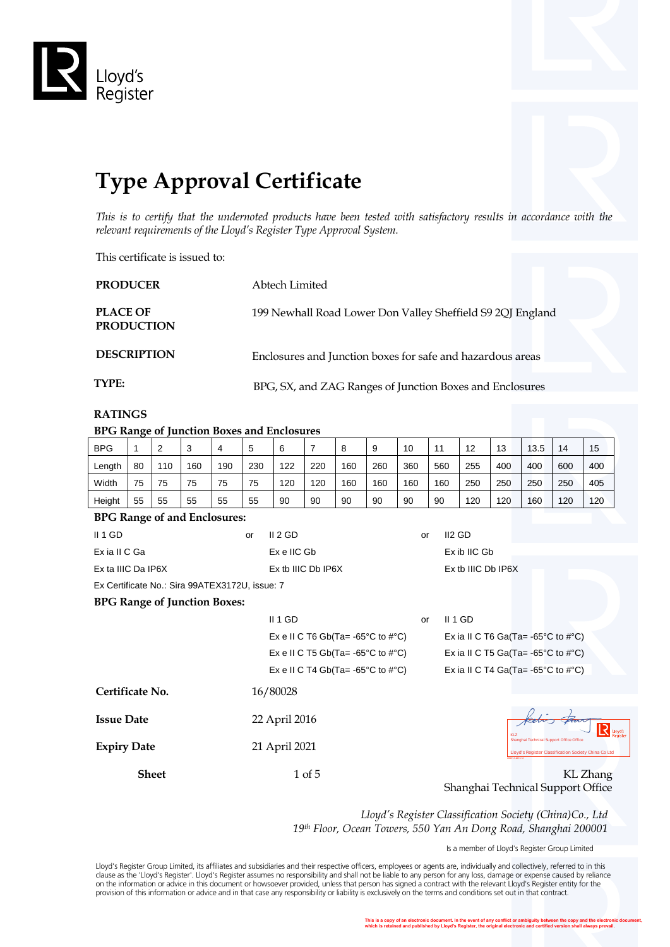

# **Type Approval Certificate**

*This is to certify that the undernoted products have been tested with satisfactory results in accordance with the relevant requirements of the Lloyd's Register Type Approval System.*

This certificate is issued to:

| <b>PRODUCER</b>                      | Abtech Limited                                             |
|--------------------------------------|------------------------------------------------------------|
| <b>PLACE OF</b><br><b>PRODUCTION</b> | 199 Newhall Road Lower Don Valley Sheffield S9 2QJ England |
| <b>DESCRIPTION</b>                   | Enclosures and Junction boxes for safe and hazardous areas |
| TYPE:                                | BPG, SX, and ZAG Ranges of Junction Boxes and Enclosures   |

## **RATINGS**

**BPG Range of Junction Boxes and Enclosures**

| DI G Kange of Junction Doxes and Enclosures           |                                    |                |     |     |                                                                                                                                                  |                                                       |                |                                                         |     |     |         |                                               |     |                                                         |     |          |
|-------------------------------------------------------|------------------------------------|----------------|-----|-----|--------------------------------------------------------------------------------------------------------------------------------------------------|-------------------------------------------------------|----------------|---------------------------------------------------------|-----|-----|---------|-----------------------------------------------|-----|---------------------------------------------------------|-----|----------|
| <b>BPG</b>                                            | 1                                  | $\overline{2}$ | 3   | 4   | 5                                                                                                                                                | 6                                                     | $\overline{7}$ | 8                                                       | 9   | 10  | 11      | 12                                            | 13  | 13.5                                                    | 14  | 15       |
| Length                                                | 80                                 | 110            | 160 | 190 | 230                                                                                                                                              | 122                                                   | 220            | 160                                                     | 260 | 360 | 560     | 255                                           | 400 | 400                                                     | 600 | 400      |
| Width                                                 | 75                                 | 75             | 75  | 75  | 75                                                                                                                                               | 120                                                   | 120            | 160                                                     | 160 | 160 | 160     | 250                                           | 250 | 250                                                     | 250 | 405      |
| Height                                                | 55                                 | 55             | 55  | 55  | 55                                                                                                                                               | 90                                                    | 90             | 90                                                      | 90  | 90  | 90      | 120                                           | 120 | 160                                                     | 120 | 120      |
| <b>BPG Range of and Enclosures:</b>                   |                                    |                |     |     |                                                                                                                                                  |                                                       |                |                                                         |     |     |         |                                               |     |                                                         |     |          |
| II 1 GD<br>II 2 GD<br>II <sub>2</sub> GD<br>or<br>or  |                                    |                |     |     |                                                                                                                                                  |                                                       |                |                                                         |     |     |         |                                               |     |                                                         |     |          |
| Ex ia II C Ga                                         |                                    |                |     |     |                                                                                                                                                  | Ex e IIC Gb                                           |                |                                                         |     |     |         | Ex ib IIC Gb                                  |     |                                                         |     |          |
| Ex ta IIIC Da IP6X                                    |                                    |                |     |     |                                                                                                                                                  | Ex tb IIIC Db IP6X                                    |                |                                                         |     |     |         | Ex tb IIIC Db IP6X                            |     |                                                         |     |          |
| Ex Certificate No.: Sira 99ATEX3172U, issue: 7        |                                    |                |     |     |                                                                                                                                                  |                                                       |                |                                                         |     |     |         |                                               |     |                                                         |     |          |
| <b>BPG Range of Junction Boxes:</b>                   |                                    |                |     |     |                                                                                                                                                  |                                                       |                |                                                         |     |     |         |                                               |     |                                                         |     |          |
|                                                       |                                    |                |     |     |                                                                                                                                                  | II 1 GD                                               |                |                                                         |     | or  | II 1 GD |                                               |     |                                                         |     |          |
| Ex e II C T6 Gb(Ta= -65 $\degree$ C to # $\degree$ C) |                                    |                |     |     |                                                                                                                                                  |                                                       |                | Ex ia II C T6 Ga(Ta= $-65^{\circ}$ C to # $^{\circ}$ C) |     |     |         |                                               |     |                                                         |     |          |
|                                                       |                                    |                |     |     | Ex e II C T5 Gb(Ta= -65 $^{\circ}$ C to # $^{\circ}$ C)                                                                                          |                                                       |                |                                                         |     |     |         | Ex ia II C T5 Ga(Ta= -65°C to $\#^{\circ}C$ ) |     |                                                         |     |          |
|                                                       |                                    |                |     |     |                                                                                                                                                  | Ex e II C T4 Gb(Ta= -65 $\degree$ C to # $\degree$ C) |                |                                                         |     |     |         |                                               |     | Ex ia II C T4 Ga(Ta= $-65^{\circ}$ C to $\#^{\circ}$ C) |     |          |
| Certificate No.                                       |                                    |                |     |     |                                                                                                                                                  | 16/80028                                              |                |                                                         |     |     |         |                                               |     |                                                         |     |          |
|                                                       |                                    |                |     |     |                                                                                                                                                  |                                                       |                |                                                         |     |     |         |                                               |     |                                                         |     |          |
|                                                       | <b>Issue Date</b><br>22 April 2016 |                |     |     |                                                                                                                                                  |                                                       |                | R<br>Lloyd's<br>Registe                                 |     |     |         |                                               |     |                                                         |     |          |
| <b>Expiry Date</b>                                    |                                    |                |     |     | <b>KLZ</b><br>Shanghai Technical Support Office Office<br>21 April 2021<br>Lloyd's Register Classification Society China Co Ltd<br>8031.12013.12 |                                                       |                |                                                         |     |     |         |                                               |     |                                                         |     |          |
|                                                       |                                    | <b>Sheet</b>   |     |     |                                                                                                                                                  |                                                       | 1 of 5         |                                                         |     |     |         |                                               |     |                                                         |     | KL Zhang |
|                                                       |                                    |                |     |     |                                                                                                                                                  |                                                       |                |                                                         |     |     |         |                                               |     | Shanghai Technical Support Office                       |     |          |

*Lloyd's Register Classification Society (China)Co., Ltd 19th Floor, Ocean Towers, 550 Yan An Dong Road, Shanghai 200001*

Is a member of Lloyd's Register Group Limited

Lloyd's Register Group Limited, its affiliates and subsidiaries and their respective officers, employees or agents are, individually and collectively, referred to in this<br>clause as the 'Lloyd's Register'. Lloyd's Register provision of this information or advice and in that case any responsibility or liability is exclusively on the terms and conditions set out in that contract.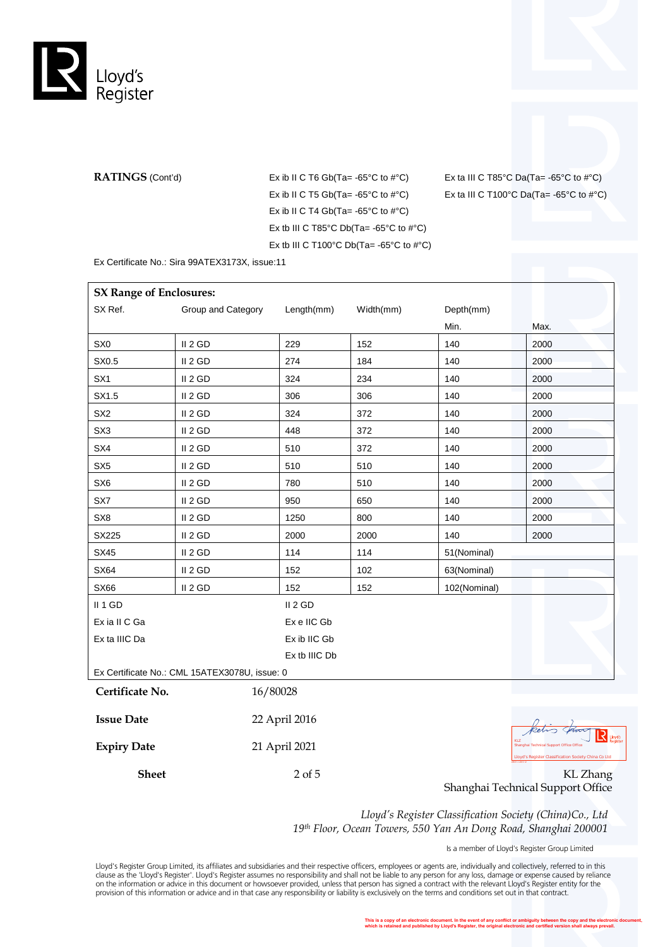

**RATINGS** (Cont'd) Ex ib II C T6 Gb(Ta= $-65^{\circ}$ C to  $\#^{\circ}$ C) Ex ib II C T5  $Gb(Ta = -65^{\circ}C$  to  $\#^{\circ}C)$ Ex ib II C T4 Gb(Ta= $-65^{\circ}$ C to  $\#^{\circ}$ C) Ex tb III C T85°C Db(Ta= $-65$ °C to  $\#$ °C) Ex tb III C T100°C Db(Ta= $-65$ °C to  $\#$ °C)

Ex ta III C T85°C Da(Ta= $-65$ °C to  $\#$ °C) Ex ta III C T100°C Da(Ta= -65°C to  $\#^{\circ}$ C)

Ex Certificate No.: Sira 99ATEX3173X, issue:11

| <b>SX Range of Enclosures:</b> |                                               |               |           |              |                                                                              |
|--------------------------------|-----------------------------------------------|---------------|-----------|--------------|------------------------------------------------------------------------------|
| SX Ref.                        | Group and Category                            | Length(mm)    | Width(mm) | Depth(mm)    |                                                                              |
|                                |                                               |               |           | Min.         | Max.                                                                         |
| SX <sub>0</sub>                | II <sub>2</sub> GD                            | 229           | 152       | 140          | 2000                                                                         |
| SX0.5                          | II 2 GD                                       | 274           | 184       | 140          | 2000                                                                         |
| SX <sub>1</sub>                | II 2 GD                                       | 324           | 234       | 140          | 2000                                                                         |
| SX1.5                          | II <sub>2</sub> GD                            | 306           | 306       | 140          | 2000                                                                         |
| SX <sub>2</sub>                | II 2 GD                                       | 324           | 372       | 140          | 2000                                                                         |
| SX <sub>3</sub>                | II 2 GD                                       | 448           | 372       | 140          | 2000                                                                         |
| SX4                            | II 2 GD                                       | 510           | 372       | 140          | 2000                                                                         |
| SX <sub>5</sub>                | II <sub>2</sub> GD                            | 510           | 510       | 140          | 2000                                                                         |
| SX <sub>6</sub>                | II 2 GD                                       | 780           | 510       | 140          | 2000                                                                         |
| SX7                            | II 2 GD                                       | 950           | 650       | 140          | 2000                                                                         |
| SX8                            | II <sub>2</sub> GD                            | 1250          | 800       | 140          | 2000                                                                         |
| SX225                          | II <sub>2</sub> GD                            | 2000          | 2000      | 140          | 2000                                                                         |
| SX45                           | II 2 GD                                       | 114           | 114       | 51(Nominal)  |                                                                              |
| <b>SX64</b>                    | II 2 GD                                       | 152           | 102       | 63(Nominal)  |                                                                              |
| SX66                           | II <sub>2</sub> GD                            | 152           | 152       | 102(Nominal) |                                                                              |
| II 1 GD                        |                                               | II 2 GD       |           |              |                                                                              |
| Ex ia II C Ga                  |                                               | Ex e IIC Gb   |           |              |                                                                              |
| Ex ta IIIC Da                  |                                               | Ex ib IIC Gb  |           |              |                                                                              |
|                                |                                               | Ex tb IIIC Db |           |              |                                                                              |
|                                | Ex Certificate No.: CML 15ATEX3078U, issue: 0 |               |           |              |                                                                              |
| Certificate No.                |                                               | 16/80028      |           |              |                                                                              |
|                                |                                               |               |           |              |                                                                              |
| <b>Issue Date</b>              |                                               | 22 April 2016 |           |              |                                                                              |
| <b>Expiry Date</b>             |                                               | 21 April 2021 |           |              | $\overline{S}$<br>Lloyd's<br>KLZ<br>Shanghai Technical Support Office Office |
|                                |                                               |               |           |              | Lloyd's Register Classification Society China Co Ltd                         |
|                                |                                               |               |           |              |                                                                              |

**Sheet** 2 of 5 KL Zhang Shanghai Technical Support Office

> *Lloyd's Register Classification Society (China)Co., Ltd 19th Floor, Ocean Towers, 550 Yan An Dong Road, Shanghai 200001*

> > Is a member of Lloyd's Register Group Limited

Lloyd's Register Group Limited, its affiliates and subsidiaries and their respective officers, employees or agents are, individually and collectively, referred to in this<br>clause as the 'Lloyd's Register'. Lloyd's Register provision of this information or advice and in that case any responsibility or liability is exclusively on the terms and conditions set out in that contract.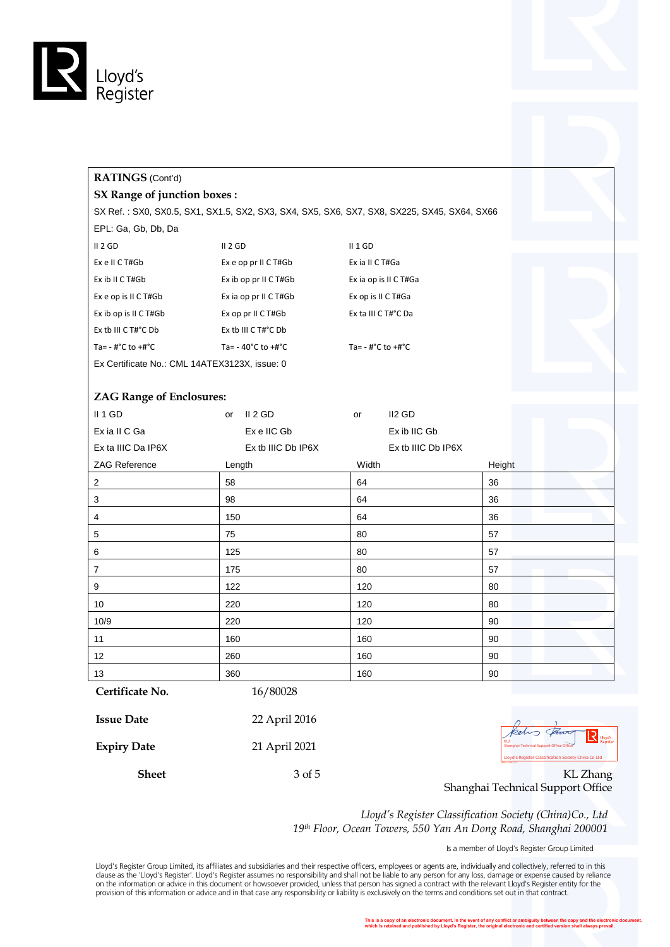

## **RATINGS** (Cont'd)

#### **SX Range of junction boxes :**

SX Ref. : SX0, SX0.5, SX1, SX1.5, SX2, SX3, SX4, SX5, SX6, SX7, SX8, SX225, SX45, SX64, SX66 EPL: Ga, Gb, Db, Da

| II 2 GD                                       | II 2 GD                               | $II$ 1 GD              |  |  |  |  |
|-----------------------------------------------|---------------------------------------|------------------------|--|--|--|--|
| Ex e II C T#Gb                                | Exe op pr II C T#Gb                   | Ex ia II C T#Ga        |  |  |  |  |
| Ex ib II C T#Gb                               | Ex ib op pr II C T#Gb                 | Ex ia op is II C T#Ga  |  |  |  |  |
| Ex e op is II C T#Gb                          | Ex ia op pr II C T#Gb                 | Ex op is II C T#Ga     |  |  |  |  |
| Ex ib op is II C T#Gb                         | Ex op pr II C T#Gb                    | Ex ta III C T#°C Da    |  |  |  |  |
| Ex tb III C T#°C Db                           | Ex tb III C $T#^{\circ}C$ Db          |                        |  |  |  |  |
| Ta= - #°C to +#°C                             | Ta= $-40^{\circ}$ C to $+4^{\circ}$ C | Ta= $-$ #°C to $+$ #°C |  |  |  |  |
| Ex Certificate No.: CML 14ATEX3123X, issue: 0 |                                       |                        |  |  |  |  |

#### **ZAG Range of Enclosures:**

| II 1 GD            | or     | II 2 GD            | or    | II2 GD             |        |
|--------------------|--------|--------------------|-------|--------------------|--------|
| Ex ia II C Ga      |        | Ex e IIC Gb        |       | Ex ib IIC Gb       |        |
| Ex ta IIIC Da IP6X |        | Ex tb IIIC Db IP6X |       | Ex tb IIIC Db IP6X |        |
| ZAG Reference      | Length |                    | Width |                    | Height |
| $\overline{2}$     | 58     |                    | 64    |                    | 36     |
| 3                  | 98     |                    | 64    |                    | 36     |
| 4                  | 150    |                    | 64    |                    | 36     |
| $\sqrt{5}$         | 75     |                    | 80    |                    | 57     |
| 6                  | 125    |                    | 80    |                    | 57     |
| $\overline{7}$     | 175    |                    | 80    |                    | 57     |
| 9                  | 122    |                    | 120   |                    | 80     |
| 10                 | 220    |                    | 120   |                    | 80     |
| 10/9               | 220    |                    | 120   |                    | 90     |
| 11                 | 160    |                    | 160   |                    | 90     |
| 12                 | 260    |                    | 160   |                    | 90     |
| 13                 | 360    |                    | 160   |                    | 90     |

**Certificate No.** 16/80028

| <b>Issue Date</b>  | 22 April 2016 |                                                                        |
|--------------------|---------------|------------------------------------------------------------------------|
| <b>Expiry Date</b> | 21 April 2021 | kelis Room<br>Shanghai Technical Support Office Office                 |
|                    |               | Lloyd's Register Classification Society China Co Ltd<br>18031.12012.12 |
| Sheet              | 3 of 5        | KL Zhang                                                               |

**LROS**<br>Shanghai Technical Support Office Office<br>Lagranghai Register Classification Society China Co Ltd<br>Rambau

Shanghai Technical Support Office

*Lloyd's Register Classification Society (China)Co., Ltd 19th Floor, Ocean Towers, 550 Yan An Dong Road, Shanghai 200001*

Is a member of Lloyd's Register Group Limited

Lloyd's Register Group Limited, its affiliates and subsidiaries and their respective officers, employees or agents are, individually and collectively, referred to in this<br>clause as the 'Lloyd's Register'. Lloyd's Register provision of this information or advice and in that case any responsibility or liability is exclusively on the terms and conditions set out in that contract.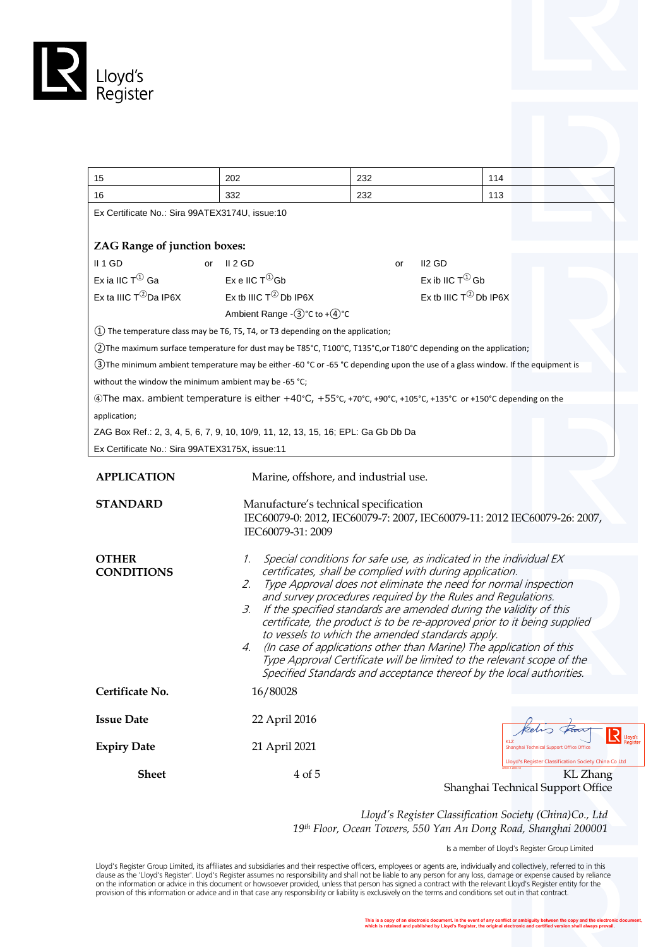

| 15                                                    | 202                                                                                                                              | 232                                                                                                          | 114                                                                                                                                                                                                                                                                                                                                                                                                                                                                                                                                                                              |                                                                  |  |  |  |  |
|-------------------------------------------------------|----------------------------------------------------------------------------------------------------------------------------------|--------------------------------------------------------------------------------------------------------------|----------------------------------------------------------------------------------------------------------------------------------------------------------------------------------------------------------------------------------------------------------------------------------------------------------------------------------------------------------------------------------------------------------------------------------------------------------------------------------------------------------------------------------------------------------------------------------|------------------------------------------------------------------|--|--|--|--|
| 16                                                    | 332                                                                                                                              | 232                                                                                                          | 113                                                                                                                                                                                                                                                                                                                                                                                                                                                                                                                                                                              |                                                                  |  |  |  |  |
| Ex Certificate No.: Sira 99ATEX3174U, issue:10        |                                                                                                                                  |                                                                                                              |                                                                                                                                                                                                                                                                                                                                                                                                                                                                                                                                                                                  |                                                                  |  |  |  |  |
| <b>ZAG Range of junction boxes:</b>                   |                                                                                                                                  |                                                                                                              |                                                                                                                                                                                                                                                                                                                                                                                                                                                                                                                                                                                  |                                                                  |  |  |  |  |
| II 1 GD                                               | II 2 GD<br>or                                                                                                                    | or                                                                                                           | II <sub>2</sub> GD                                                                                                                                                                                                                                                                                                                                                                                                                                                                                                                                                               |                                                                  |  |  |  |  |
| Ex ia IIC $T^{(1)}$ Ga                                | Ex e IIC $T^{(1)}$ Gb                                                                                                            |                                                                                                              | Ex ib IIC $T^{\textcircled{\tiny 1}}$ Gb                                                                                                                                                                                                                                                                                                                                                                                                                                                                                                                                         |                                                                  |  |  |  |  |
| Ex ta IIIC $T^{\textcircled{2}}$ Da IP6X              | Ex tb IIIC $T^{\textcircled{2}}$ Db IP6X<br>Ex tb IIIC $T^{\textcircled{2}}$ Db IP6X                                             |                                                                                                              |                                                                                                                                                                                                                                                                                                                                                                                                                                                                                                                                                                                  |                                                                  |  |  |  |  |
|                                                       | Ambient Range - 3 °C to + 4 °C                                                                                                   |                                                                                                              |                                                                                                                                                                                                                                                                                                                                                                                                                                                                                                                                                                                  |                                                                  |  |  |  |  |
|                                                       | (1) The temperature class may be T6, T5, T4, or T3 depending on the application;                                                 |                                                                                                              |                                                                                                                                                                                                                                                                                                                                                                                                                                                                                                                                                                                  |                                                                  |  |  |  |  |
|                                                       | (2) The maximum surface temperature for dust may be T85°C, T100°C, T135°C, or T180°C depending on the application;               |                                                                                                              |                                                                                                                                                                                                                                                                                                                                                                                                                                                                                                                                                                                  |                                                                  |  |  |  |  |
|                                                       | (3) The minimum ambient temperature may be either -60 °C or -65 °C depending upon the use of a glass window. If the equipment is |                                                                                                              |                                                                                                                                                                                                                                                                                                                                                                                                                                                                                                                                                                                  |                                                                  |  |  |  |  |
| without the window the minimum ambient may be -65 °C; |                                                                                                                                  |                                                                                                              |                                                                                                                                                                                                                                                                                                                                                                                                                                                                                                                                                                                  |                                                                  |  |  |  |  |
|                                                       | ⊕The max. ambient temperature is either +40°C, +55°C, +70°C, +90°C, +105°C, +135°C or +150°C depending on the                    |                                                                                                              |                                                                                                                                                                                                                                                                                                                                                                                                                                                                                                                                                                                  |                                                                  |  |  |  |  |
| application;                                          |                                                                                                                                  |                                                                                                              |                                                                                                                                                                                                                                                                                                                                                                                                                                                                                                                                                                                  |                                                                  |  |  |  |  |
|                                                       | ZAG Box Ref.: 2, 3, 4, 5, 6, 7, 9, 10, 10/9, 11, 12, 13, 15, 16; EPL: Ga Gb Db Da                                                |                                                                                                              |                                                                                                                                                                                                                                                                                                                                                                                                                                                                                                                                                                                  |                                                                  |  |  |  |  |
| Ex Certificate No.: Sira 99ATEX3175X, issue:11        |                                                                                                                                  |                                                                                                              |                                                                                                                                                                                                                                                                                                                                                                                                                                                                                                                                                                                  |                                                                  |  |  |  |  |
| <b>APPLICATION</b><br><b>STANDARD</b>                 | IEC60079-31: 2009                                                                                                                | Marine, offshore, and industrial use.<br>Manufacture's technical specification                               | IEC60079-0: 2012, IEC60079-7: 2007, IEC60079-11: 2012 IEC60079-26: 2007,                                                                                                                                                                                                                                                                                                                                                                                                                                                                                                         |                                                                  |  |  |  |  |
| <b>OTHER</b><br><b>CONDITIONS</b>                     | $\mathcal{I}$ .<br>2.<br>3.<br>4.                                                                                                | certificates, shall be complied with during application.<br>to vessels to which the amended standards apply. | Special conditions for safe use, as indicated in the individual EX<br>Type Approval does not eliminate the need for normal inspection<br>and survey procedures required by the Rules and Regulations.<br>If the specified standards are amended during the validity of this<br>certificate, the product is to be re-approved prior to it being supplied<br>(In case of applications other than Marine) The application of this<br>Type Approval Certificate will be limited to the relevant scope of the<br>Specified Standards and acceptance thereof by the local authorities. |                                                                  |  |  |  |  |
| Certificate No.                                       | 16/80028                                                                                                                         |                                                                                                              |                                                                                                                                                                                                                                                                                                                                                                                                                                                                                                                                                                                  |                                                                  |  |  |  |  |
| <b>Issue Date</b>                                     | 22 April 2016                                                                                                                    |                                                                                                              |                                                                                                                                                                                                                                                                                                                                                                                                                                                                                                                                                                                  |                                                                  |  |  |  |  |
| <b>Expiry Date</b>                                    | 21 April 2021                                                                                                                    |                                                                                                              |                                                                                                                                                                                                                                                                                                                                                                                                                                                                                                                                                                                  | Shanghai Technical Support Office Office                         |  |  |  |  |
| <b>Sheet</b>                                          | 4 of 5                                                                                                                           |                                                                                                              | Shanghai Technical Support Office                                                                                                                                                                                                                                                                                                                                                                                                                                                                                                                                                | Lloyd's Register Classification Society China Co Ltd<br>KL Zhang |  |  |  |  |

*Lloyd's Register Classification Society (China)Co., Ltd 19th Floor, Ocean Towers, 550 Yan An Dong Road, Shanghai 200001*

Is a member of Lloyd's Register Group Limited

Lloyd's Register Group Limited, its affiliates and subsidiaries and their respective officers, employees or agents are, individually and collectively, referred to in this<br>clause as the "Lloyd's Register". Lloyd's Register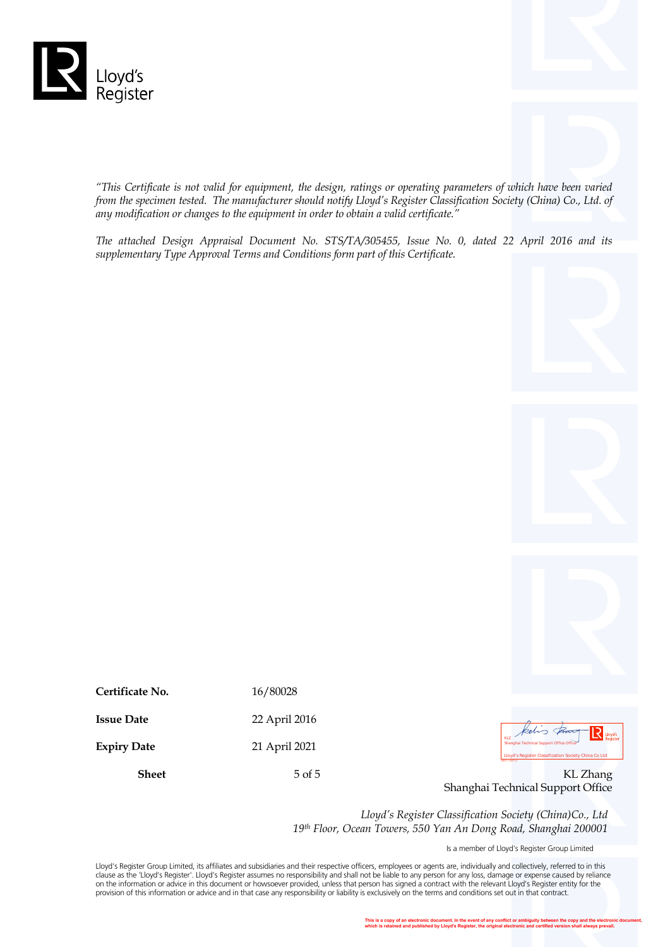

*"This Certificate is not valid for equipment, the design, ratings or operating parameters of which have been varied from the specimen tested. The manufacturer should notify Lloyd's Register Classification Society (China) Co., Ltd. of any modification or changes to the equipment in order to obtain a valid certificate."*

*The attached Design Appraisal Document No. STS/TA/305455, Issue No. 0, dated 22 April 2016 and its supplementary Type Approval Terms and Conditions form part of this Certificate.*



| Certificate No.    | 16/80028      |                                                                                                                    |
|--------------------|---------------|--------------------------------------------------------------------------------------------------------------------|
| <b>Issue Date</b>  | 22 April 2016 | kelis From R 110                                                                                                   |
| <b>Expiry Date</b> | 21 April 2021 | Shanghai Technical Support Office Office<br>Lloyd's Register Classification Society China Co Ltd<br>18001.12012.12 |
| <b>Sheet</b>       | $5$ of $5$    | KL Zhang                                                                                                           |

**LROST LACT STATE CONSIDER STATE CONSIDER**<br>Lact Shanghai Technical Support Office Office<br>
Lact Shanghai Technical Support Office Office Of the Office Office Office Of the Office Of the Office Of the Office Of the Office Of

Shanghai Technical Support Office

*Lloyd's Register Classification Society (China)Co., Ltd 19th Floor, Ocean Towers, 550 Yan An Dong Road, Shanghai 200001*

Is a member of Lloyd's Register Group Limited

Lloyd's Register Group Limited, its affiliates and subsidiaries and their respective officers, employees or agents are, individually and collectively, referred to in this<br>clause as the 'Lloyd's Register'. Lloyd's Register on the information or advice in this document or howsoever provided, unless that person has signed a contract with the relevant Lloyd's Register entity for the provision of this information or advice and in that case any responsibility or liability is exclusively on the terms and conditions set out in that contract.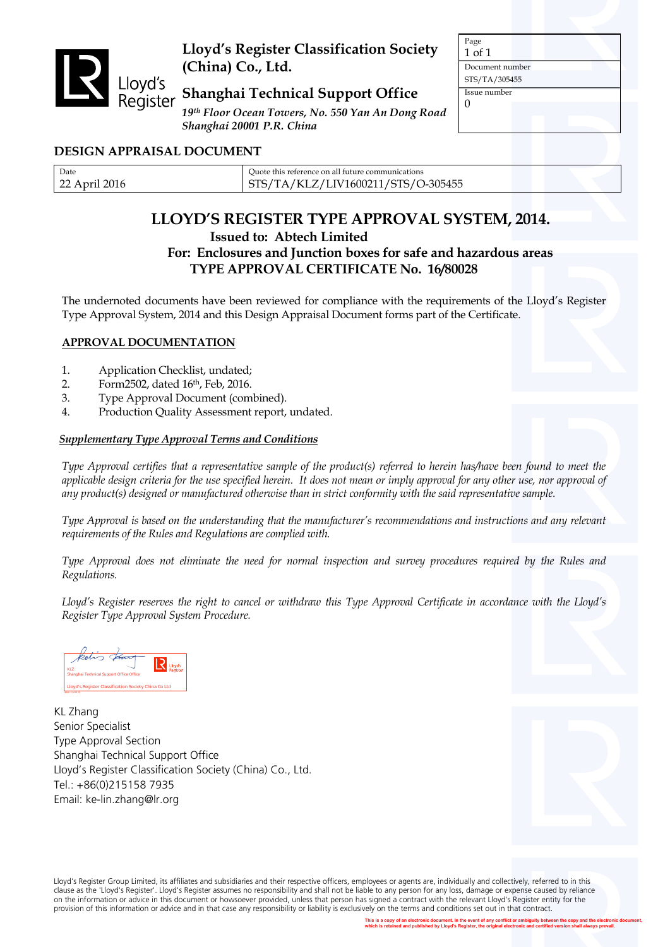

# **Lloyd's Register Classification Society (China) Co., Ltd.**

# **Shanghai Technical Support Office**

*19th Floor Ocean Towers, No. 550 Yan An Dong Road Shanghai 20001 P.R. China*

Page 1 of 1 Document number STS/TA/305455 Issue number  $\Omega$ 

# **DESIGN APPRAISAL DOCUMENT**

| Date<br>Ouote this reference on all future communications<br>/TA/KLZ/LIV1600211/STS/O-305455<br>ົາາ<br>2016<br>STS/<br>$  -$ |  |
|------------------------------------------------------------------------------------------------------------------------------|--|
|------------------------------------------------------------------------------------------------------------------------------|--|

# **LLOYD'S REGISTER TYPE APPROVAL SYSTEM, 2014. Issued to: Abtech Limited**

# **For: Enclosures and Junction boxes for safe and hazardous areas TYPE APPROVAL CERTIFICATE No. 16/80028**

The undernoted documents have been reviewed for compliance with the requirements of the Lloyd's Register Type Approval System, 2014 and this Design Appraisal Document forms part of the Certificate.

## **APPROVAL DOCUMENTATION**

- 1. Application Checklist, undated;
- 2. Form2502, dated 16th, Feb, 2016.
- 3. Type Approval Document (combined).
- 4. Production Quality Assessment report, undated.

#### *Supplementary Type Approval Terms and Conditions*

*Type Approval certifies that a representative sample of the product(s) referred to herein has/have been found to meet the applicable design criteria for the use specified herein. It does not mean or imply approval for any other use, nor approval of any product(s) designed or manufactured otherwise than in strict conformity with the said representative sample.*

*Type Approval is based on the understanding that the manufacturer's recommendations and instructions and any relevant requirements of the Rules and Regulations are complied with.*

*Type Approval does not eliminate the need for normal inspection and survey procedures required by the Rules and Regulations.*

Lloyd's Register reserves the right to cancel or withdraw this Type Approval Certificate in accordance with the Lloyd's *Register Type Approval System Procedure.*



KL Zhang Senior Specialist Type Approval Section Shanghai Technical Support Office LIoyd's Register Classification Society (China) Co., Ltd. Tel.: +86(0)215158 7935 Email: ke-lin.zhang@lr.org

Lloyd's Register Group Limited, its affiliates and subsidiaries and their respective officers, employees or agents are, individually and collectively, referred to in this clause as the 'Lloyd's Register'. Lloyd's Register assumes no responsibility and shall not be liable to any person for any loss, damage or expense caused by reliance on the information or advice in this document or howsoever provided, unless that person has signed a contract with the relevant Lloyd's Register entity for the provision of this information or advice and in that case any responsibility or liability is exclusively on the terms and conditions set out in that contract.